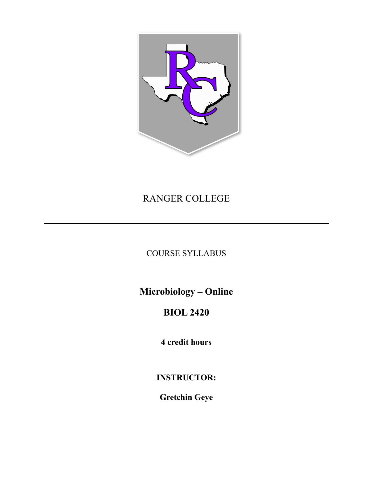

# RANGER COLLEGE

COURSE SYLLABUS

**Microbiology – Online**

# **BIOL 2420**

**4 credit hours**

**INSTRUCTOR:**

**Gretchin Geye**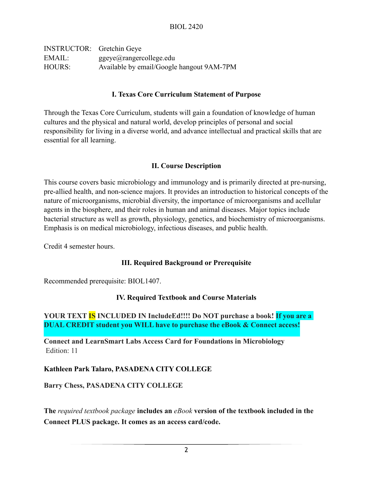| <b>INSTRUCTOR:</b> Gretchin Geye |                                           |
|----------------------------------|-------------------------------------------|
| EMAIL:                           | ggeye@rangercollege.edu                   |
| <b>HOURS:</b>                    | Available by email/Google hangout 9AM-7PM |

#### **I. Texas Core Curriculum Statement of Purpose**

Through the Texas Core Curriculum, students will gain a foundation of knowledge of human cultures and the physical and natural world, develop principles of personal and social responsibility for living in a diverse world, and advance intellectual and practical skills that are essential for all learning.

#### **II. Course Description**

This course covers basic microbiology and immunology and is primarily directed at pre-nursing, pre-allied health, and non-science majors. It provides an introduction to historical concepts of the nature of microorganisms, microbial diversity, the importance of microorganisms and acellular agents in the biosphere, and their roles in human and animal diseases. Major topics include bacterial structure as well as growth, physiology, genetics, and biochemistry of microorganisms. Emphasis is on medical microbiology, infectious diseases, and public health.

Credit 4 semester hours.

#### **III. Required Background or Prerequisite**

Recommended prerequisite: BIOL1407.

#### **IV. Required Textbook and Course Materials**

# **YOUR TEXT IS INCLUDED IN IncludeEd!!!! Do NOT purchase a book! If you are a DUAL CREDIT student you WILL have to purchase the eBook & Connect access!**

**Connect and LearnSmart Labs Access Card for Foundations in Microbiology**  Edition: 11

#### **Kathleen Park Talaro, PASADENA CITY COLLEGE**

#### **Barry Chess, PASADENA CITY COLLEGE**

**The** *required textbook package* **includes an** *eBook* **version of the textbook included in the Connect PLUS package. It comes as an access card/code.**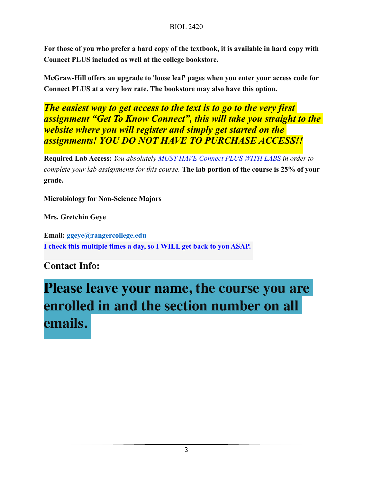**For those of you who prefer a hard copy of the textbook, it is available in hard copy with Connect PLUS included as well at the college bookstore.** 

**McGraw-Hill offers an upgrade to 'loose leaf' pages when you enter your access code for Connect PLUS at a very low rate. The bookstore may also have this option.** 

*The easiest way to get access to the text is to go to the very first assignment "Get To Know Connect", this will take you straight to the website where you will register and simply get started on the assignments! YOU DO NOT HAVE TO PURCHASE ACCESS!!*

**Required Lab Access:** *You absolutely MUST HAVE Connect PLUS WITH LABS in order to complete your lab assignments for this course.* **The lab portion of the course is 25% of your grade.** 

**Microbiology for Non-Science Majors** 

**Mrs. Gretchin Geye** 

**Email: ggeye@rangercollege.edu I check this multiple times a day, so I WILL get back to you ASAP.**

**Contact Info:** 

# **Please leave your name, the course you are enrolled in and the section number on all emails.**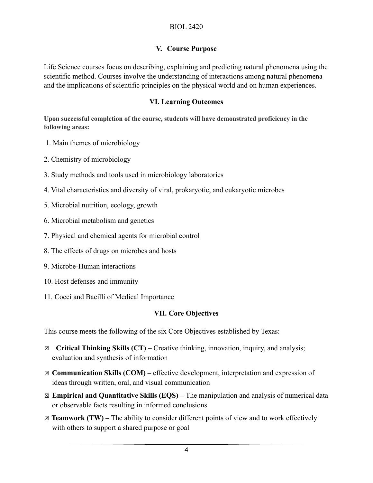#### **V. Course Purpose**

Life Science courses focus on describing, explaining and predicting natural phenomena using the scientific method. Courses involve the understanding of interactions among natural phenomena and the implications of scientific principles on the physical world and on human experiences.

#### **VI. Learning Outcomes**

**Upon successful completion of the course, students will have demonstrated proficiency in the following areas:**

- 1. Main themes of microbiology
- 2. Chemistry of microbiology
- 3. Study methods and tools used in microbiology laboratories
- 4. Vital characteristics and diversity of viral, prokaryotic, and eukaryotic microbes
- 5. Microbial nutrition, ecology, growth
- 6. Microbial metabolism and genetics
- 7. Physical and chemical agents for microbial control
- 8. The effects of drugs on microbes and hosts
- 9. Microbe-Human interactions
- 10. Host defenses and immunity
- 11. Cocci and Bacilli of Medical Importance

# **VII. Core Objectives**

This course meets the following of the six Core Objectives established by Texas:

- ☒ **Critical Thinking Skills (CT)** Creative thinking, innovation, inquiry, and analysis; evaluation and synthesis of information
- ☒ **Communication Skills (COM)** effective development, interpretation and expression of ideas through written, oral, and visual communication
- ☒ **Empirical and Quantitative Skills (EQS)** The manipulation and analysis of numerical data or observable facts resulting in informed conclusions
- $\boxtimes$  **Teamwork (TW)** The ability to consider different points of view and to work effectively with others to support a shared purpose or goal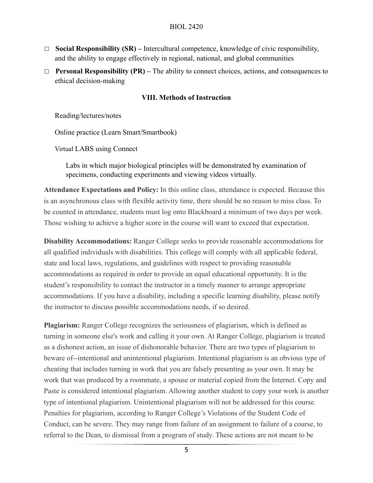#### BIOL 2420

- ☐ **Social Responsibility (SR)** Intercultural competence, knowledge of civic responsibility, and the ability to engage effectively in regional, national, and global communities
- ☐ **Personal Responsibility (PR)** The ability to connect choices, actions, and consequences to ethical decision-making

#### **VIII. Methods of Instruction**

Reading/lectures/notes

Online practice (Learn Smart/Smartbook)

Virtual LABS using Connect

Labs in which major biological principles will be demonstrated by examination of specimens, conducting experiments and viewing videos virtually.

**Attendance Expectations and Policy:** In this online class, attendance is expected. Because this is an asynchronous class with flexible activity time, there should be no reason to miss class. To be counted in attendance, students must log onto Blackboard a minimum of two days per week. Those wishing to achieve a higher score in the course will want to exceed that expectation.

**Disability Accommodations:** Ranger College seeks to provide reasonable accommodations for all qualified individuals with disabilities. This college will comply with all applicable federal, state and local laws, regulations, and guidelines with respect to providing reasonable accommodations as required in order to provide an equal educational opportunity. It is the student's responsibility to contact the instructor in a timely manner to arrange appropriate accommodations. If you have a disability, including a specific learning disability, please notify the instructor to discuss possible accommodations needs, if so desired.

**Plagiarism:** Ranger College recognizes the seriousness of plagiarism, which is defined as turning in someone else's work and calling it your own. At Ranger College, plagiarism is treated as a dishonest action, an issue of dishonorable behavior. There are two types of plagiarism to beware of--intentional and unintentional plagiarism. Intentional plagiarism is an obvious type of cheating that includes turning in work that you are falsely presenting as your own. It may be work that was produced by a roommate, a spouse or material copied from the Internet. Copy and Paste is considered intentional plagiarism. Allowing another student to copy your work is another type of intentional plagiarism. Unintentional plagiarism will not be addressed for this course. Penalties for plagiarism, according to Ranger College's Violations of the Student Code of Conduct, can be severe. They may range from failure of an assignment to failure of a course, to referral to the Dean, to dismissal from a program of study. These actions are not meant to be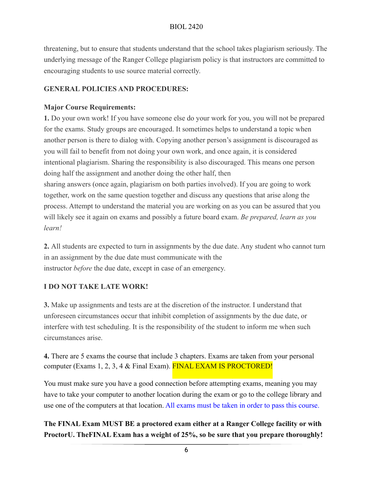threatening, but to ensure that students understand that the school takes plagiarism seriously. The underlying message of the Ranger College plagiarism policy is that instructors are committed to encouraging students to use source material correctly.

# **GENERAL POLICIES AND PROCEDURES:**

# **Major Course Requirements:**

**1.** Do your own work! If you have someone else do your work for you, you will not be prepared for the exams. Study groups are encouraged. It sometimes helps to understand a topic when another person is there to dialog with. Copying another person's assignment is discouraged as you will fail to benefit from not doing your own work, and once again, it is considered intentional plagiarism. Sharing the responsibility is also discouraged. This means one person doing half the assignment and another doing the other half, then sharing answers (once again, plagiarism on both parties involved). If you are going to work together, work on the same question together and discuss any questions that arise along the process. Attempt to understand the material you are working on as you can be assured that you will likely see it again on exams and possibly a future board exam. *Be prepared, learn as you learn!* 

**2.** All students are expected to turn in assignments by the due date. Any student who cannot turn in an assignment by the due date must communicate with the instructor *before* the due date, except in case of an emergency.

# **I DO NOT TAKE LATE WORK!**

**3.** Make up assignments and tests are at the discretion of the instructor. I understand that unforeseen circumstances occur that inhibit completion of assignments by the due date, or interfere with test scheduling. It is the responsibility of the student to inform me when such circumstances arise.

**4.** There are 5 exams the course that include 3 chapters. Exams are taken from your personal computer (Exams 1, 2, 3, 4 & Final Exam). FINAL EXAM IS PROCTORED!

You must make sure you have a good connection before attempting exams, meaning you may have to take your computer to another location during the exam or go to the college library and use one of the computers at that location. All exams must be taken in order to pass this course.

# **The FINAL Exam MUST BE a proctored exam either at a Ranger College facility or with ProctorU. TheFINAL Exam has a weight of 25%, so be sure that you prepare thoroughly!**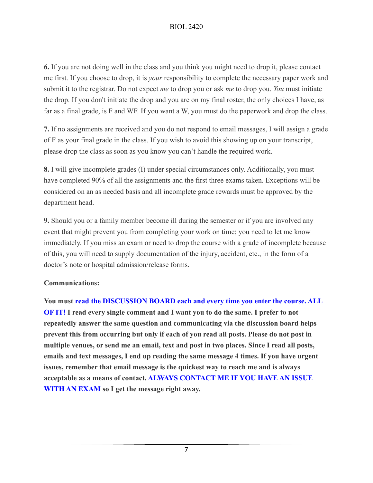# BIOL 2420

**6.** If you are not doing well in the class and you think you might need to drop it, please contact me first. If you choose to drop, it is *your* responsibility to complete the necessary paper work and submit it to the registrar. Do not expect *me* to drop you or ask *me* to drop you. *You* must initiate the drop. If you don't initiate the drop and you are on my final roster, the only choices I have, as far as a final grade, is F and WF. If you want a W, you must do the paperwork and drop the class.

**7.** If no assignments are received and you do not respond to email messages, I will assign a grade of F as your final grade in the class. If you wish to avoid this showing up on your transcript, please drop the class as soon as you know you can't handle the required work.

**8.** I will give incomplete grades (I) under special circumstances only. Additionally, you must have completed 90% of all the assignments and the first three exams taken. Exceptions will be considered on an as needed basis and all incomplete grade rewards must be approved by the department head.

**9.** Should you or a family member become ill during the semester or if you are involved any event that might prevent you from completing your work on time; you need to let me know immediately. If you miss an exam or need to drop the course with a grade of incomplete because of this, you will need to supply documentation of the injury, accident, etc., in the form of a doctor's note or hospital admission/release forms.

#### **Communications:**

**You must read the DISCUSSION BOARD each and every time you enter the course. ALL OF IT! I read every single comment and I want you to do the same. I prefer to not repeatedly answer the same question and communicating via the discussion board helps prevent this from occurring but only if each of you read all posts. Please do not post in multiple venues, or send me an email, text and post in two places. Since I read all posts, emails and text messages, I end up reading the same message 4 times. If you have urgent issues, remember that email message is the quickest way to reach me and is always acceptable as a means of contact. ALWAYS CONTACT ME IF YOU HAVE AN ISSUE WITH AN EXAM so I get the message right away.**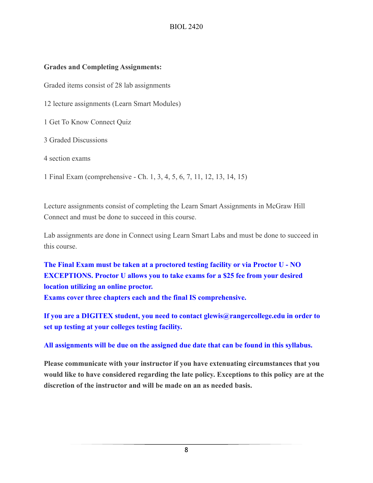#### **Grades and Completing Assignments:**

Graded items consist of 28 lab assignments

12 lecture assignments (Learn Smart Modules)

1 Get To Know Connect Quiz

3 Graded Discussions

4 section exams

1 Final Exam (comprehensive - Ch. 1, 3, 4, 5, 6, 7, 11, 12, 13, 14, 15)

Lecture assignments consist of completing the Learn Smart Assignments in McGraw Hill Connect and must be done to succeed in this course.

Lab assignments are done in Connect using Learn Smart Labs and must be done to succeed in this course.

**The Final Exam must be taken at a proctored testing facility or via Proctor U - NO EXCEPTIONS. Proctor U allows you to take exams for a \$25 fee from your desired location utilizing an online proctor. Exams cover three chapters each and the final IS comprehensive.** 

**If you are a DIGITEX student, you need to contact glewis@rangercollege.edu in order to set up testing at your colleges testing facility.** 

**All assignments will be due on the assigned due date that can be found in this syllabus.** 

**Please communicate with your instructor if you have extenuating circumstances that you would like to have considered regarding the late policy. Exceptions to this policy are at the discretion of the instructor and will be made on an as needed basis.**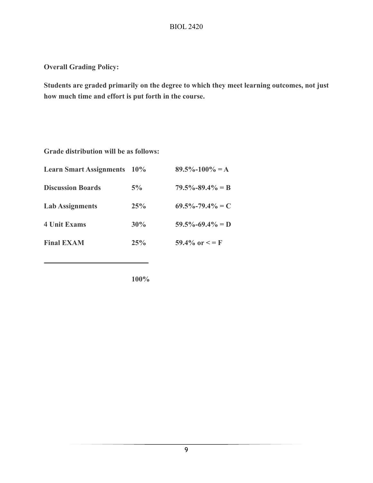**Overall Grading Policy:** 

**Students are graded primarily on the degree to which they meet learning outcomes, not just how much time and effort is put forth in the course.** 

**Grade distribution will be as follows:** 

| <b>Learn Smart Assignments</b> 10% |     | $89.5\% - 100\% = A$  |
|------------------------------------|-----|-----------------------|
| <b>Discussion Boards</b>           | 5%  | $79.5\% - 89.4\% = B$ |
| <b>Lab Assignments</b>             | 25% | $69.5\% - 79.4\% = C$ |
| <b>4 Unit Exams</b>                | 30% | $59.5\% - 69.4\% = D$ |
| <b>Final EXAM</b>                  | 25% | 59.4% or $\leq$ = F   |
|                                    |     |                       |

**100%**